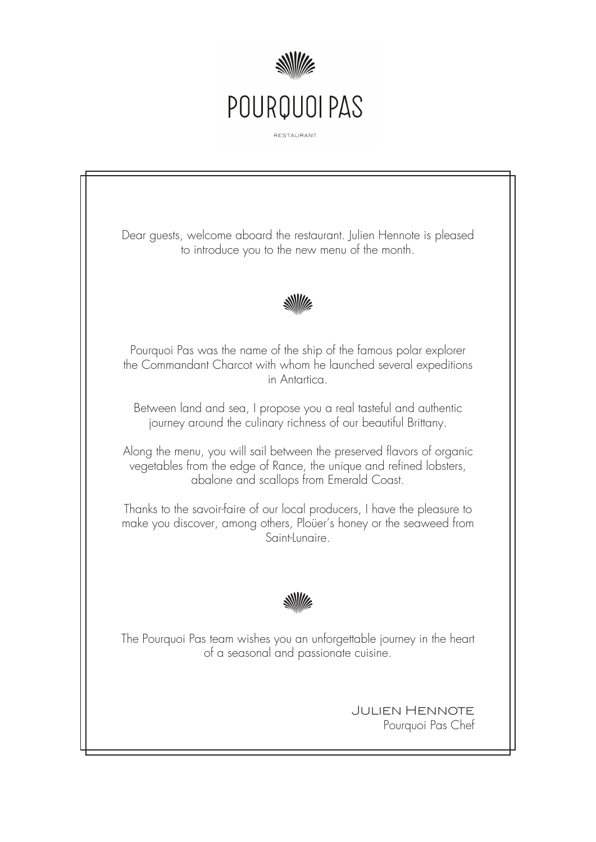

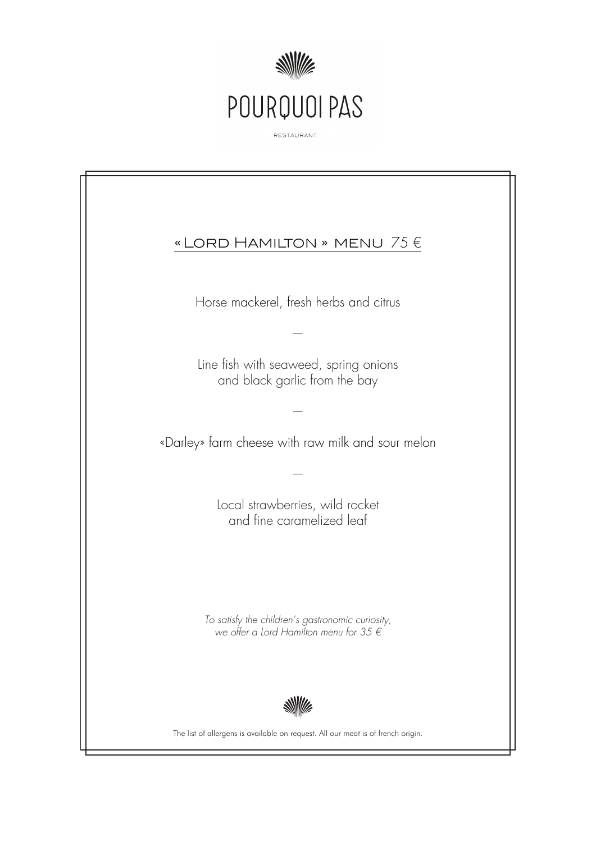

| <b>RESTAURANT</b> |
|-------------------|
|-------------------|

| «LORD HAMILTON » MENU $75 \in$                                                                      |
|-----------------------------------------------------------------------------------------------------|
| Horse mackerel, fresh herbs and citrus                                                              |
|                                                                                                     |
| Line fish with seaweed, spring onions<br>and black garlic from the bay                              |
|                                                                                                     |
| «Darley» farm cheese with raw milk and sour melon                                                   |
|                                                                                                     |
| Local strawberries, wild rocket<br>and fine caramelized leaf                                        |
|                                                                                                     |
| To satisfy the children's gastronomic curiosity,<br>we offer a Lord Hamilton menu for 35 $\epsilon$ |
|                                                                                                     |
| The list of allergens is available on request. All our meat is of french origin.                    |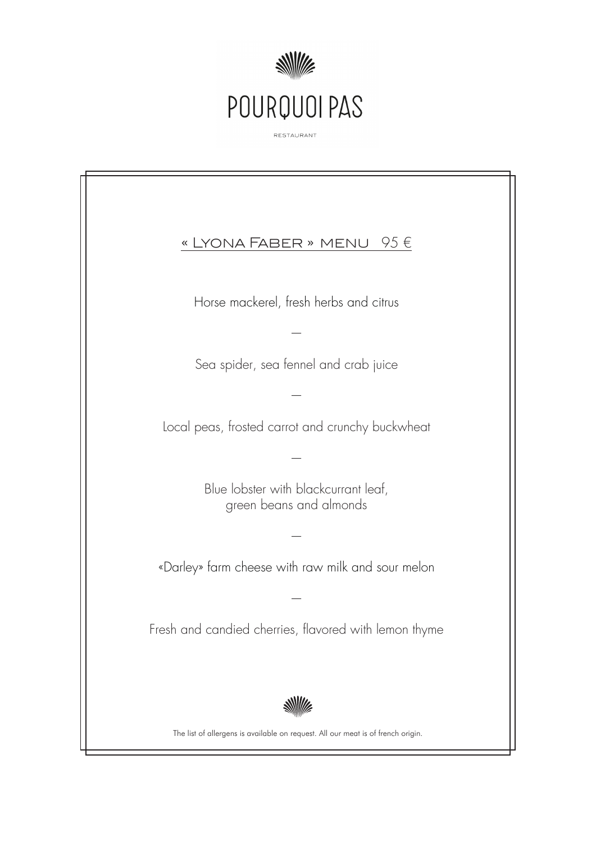

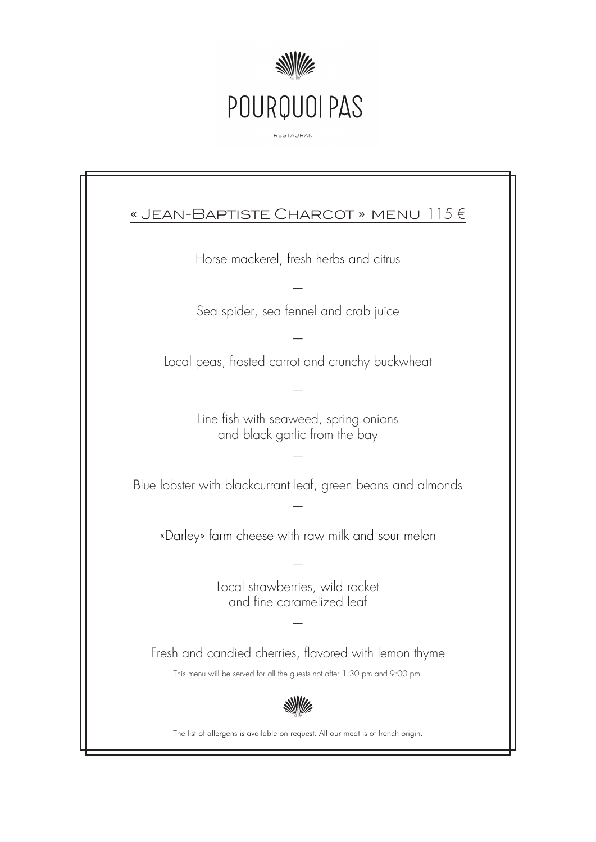

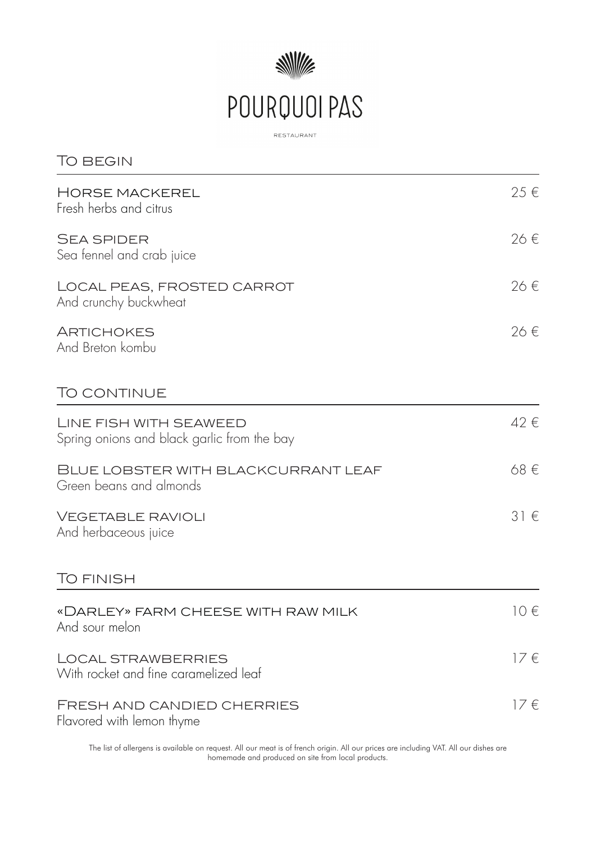

RESTAURANT

| <b>TO BEGIN</b>                                                       |          |
|-----------------------------------------------------------------------|----------|
| <b>HORSE MACKEREL</b><br>Fresh herbs and citrus                       | 25€      |
| <b>SEA SPIDER</b><br>Sea fennel and crab juice                        | 26€      |
| LOCAL PEAS, FROSTED CARROT<br>And crunchy buckwheat                   | 26€      |
| <b>ARTICHOKES</b><br>And Breton kombu                                 | 26€      |
| TO CONTINUE                                                           |          |
| LINE FISH WITH SEAWEED<br>Spring onions and black garlic from the bay | 42€      |
| BLUE LOBSTER WITH BLACKCURRANT LEAF<br>Green beans and almonds        | 68€      |
| <b>VEGETABLE RAVIOLI</b><br>And herbaceous juice                      | $31 \in$ |
| TO FINISH                                                             |          |
| «DARLEY» FARM CHEESE WITH RAW MILK<br>And sour melon                  | $10 \in$ |
| <b>LOCAL STRAWBERRIES</b><br>With rocket and fine caramelized leaf    | $17 \in$ |
| <b>FRESH AND CANDIED CHERRIES</b><br>Flavored with lemon thyme        | $17 \in$ |

The list of allergens is available on request. All our meat is of french origin. All our prices are including VAT. All our dishes are homemade and produced on site from local products.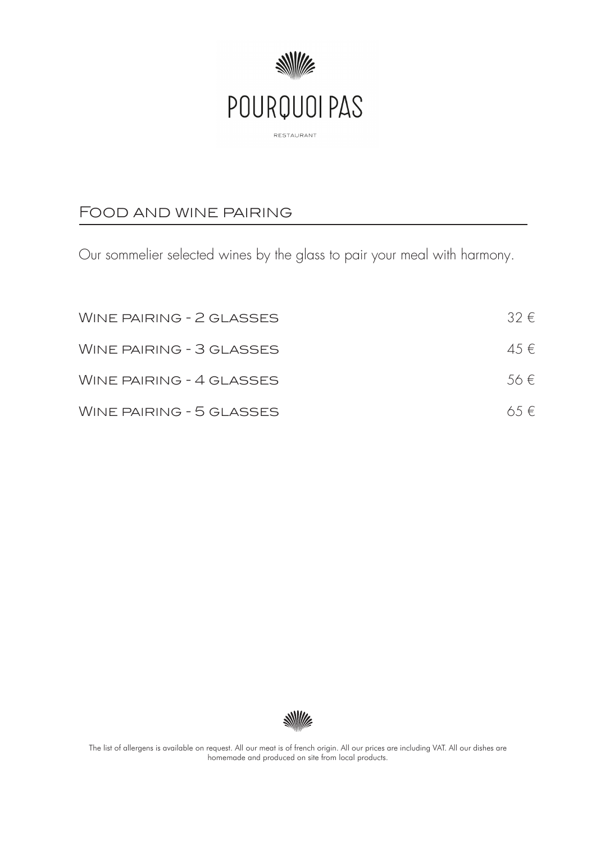

## Food and wine pairing

Our sommelier selected wines by the glass to pair your meal with harmony.

| WINE PAIRING - 2 GLASSES | $32 \in$  |
|--------------------------|-----------|
| WINE PAIRING - 3 GLASSES | $4.5 \in$ |
| WINE PAIRING - 4 GLASSES | $.56 \in$ |
| WINE PAIRING - 5 GLASSES | $65 \in$  |



The list of allergens is available on request. All our meat is of french origin. All our prices are including VAT. All our dishes are homemade and produced on site from local products.